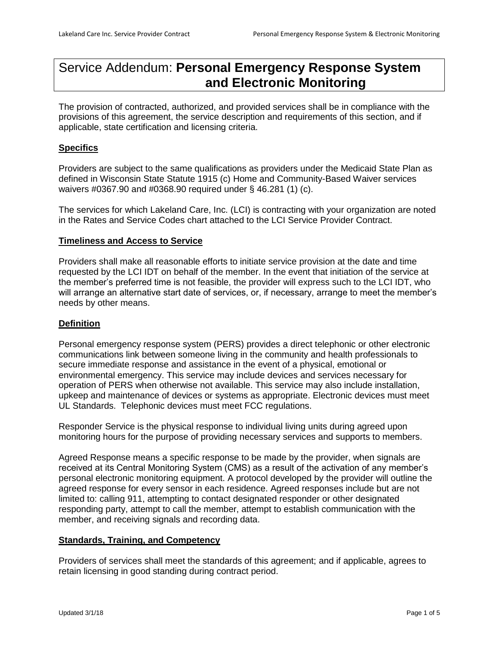# Service Addendum: **Personal Emergency Response System and Electronic Monitoring**

The provision of contracted, authorized, and provided services shall be in compliance with the provisions of this agreement, the service description and requirements of this section, and if applicable, state certification and licensing criteria.

## **Specifics**

Providers are subject to the same qualifications as providers under the Medicaid State Plan as defined in Wisconsin State Statute 1915 (c) Home and Community-Based Waiver services waivers #0367.90 and #0368.90 required under § 46.281 (1) (c).

The services for which Lakeland Care, Inc. (LCI) is contracting with your organization are noted in the Rates and Service Codes chart attached to the LCI Service Provider Contract.

## **Timeliness and Access to Service**

Providers shall make all reasonable efforts to initiate service provision at the date and time requested by the LCI IDT on behalf of the member. In the event that initiation of the service at the member's preferred time is not feasible, the provider will express such to the LCI IDT, who will arrange an alternative start date of services, or, if necessary, arrange to meet the member's needs by other means.

## **Definition**

Personal emergency response system (PERS) provides a direct telephonic or other electronic communications link between someone living in the community and health professionals to secure immediate response and assistance in the event of a physical, emotional or environmental emergency. This service may include devices and services necessary for operation of PERS when otherwise not available. This service may also include installation, upkeep and maintenance of devices or systems as appropriate. Electronic devices must meet UL Standards. Telephonic devices must meet FCC regulations.

Responder Service is the physical response to individual living units during agreed upon monitoring hours for the purpose of providing necessary services and supports to members.

Agreed Response means a specific response to be made by the provider, when signals are received at its Central Monitoring System (CMS) as a result of the activation of any member's personal electronic monitoring equipment. A protocol developed by the provider will outline the agreed response for every sensor in each residence. Agreed responses include but are not limited to: calling 911, attempting to contact designated responder or other designated responding party, attempt to call the member, attempt to establish communication with the member, and receiving signals and recording data.

#### **Standards, Training, and Competency**

Providers of services shall meet the standards of this agreement; and if applicable, agrees to retain licensing in good standing during contract period.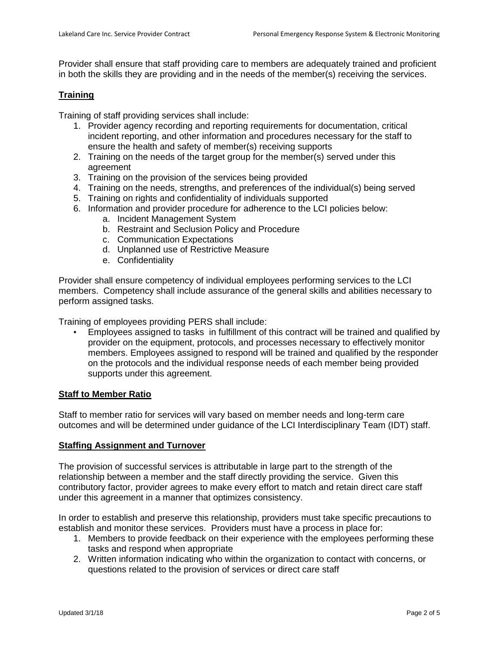Provider shall ensure that staff providing care to members are adequately trained and proficient in both the skills they are providing and in the needs of the member(s) receiving the services.

## **Training**

Training of staff providing services shall include:

- 1. Provider agency recording and reporting requirements for documentation, critical incident reporting, and other information and procedures necessary for the staff to ensure the health and safety of member(s) receiving supports
- 2. Training on the needs of the target group for the member(s) served under this agreement
- 3. Training on the provision of the services being provided
- 4. Training on the needs, strengths, and preferences of the individual(s) being served
- 5. Training on rights and confidentiality of individuals supported
- 6. Information and provider procedure for adherence to the LCI policies below:
	- a. Incident Management System
	- b. Restraint and Seclusion Policy and Procedure
	- c. Communication Expectations
	- d. Unplanned use of Restrictive Measure
	- e. Confidentiality

Provider shall ensure competency of individual employees performing services to the LCI members. Competency shall include assurance of the general skills and abilities necessary to perform assigned tasks.

Training of employees providing PERS shall include:

• Employees assigned to tasks in fulfillment of this contract will be trained and qualified by provider on the equipment, protocols, and processes necessary to effectively monitor members. Employees assigned to respond will be trained and qualified by the responder on the protocols and the individual response needs of each member being provided supports under this agreement.

#### **Staff to Member Ratio**

Staff to member ratio for services will vary based on member needs and long-term care outcomes and will be determined under guidance of the LCI Interdisciplinary Team (IDT) staff.

#### **Staffing Assignment and Turnover**

The provision of successful services is attributable in large part to the strength of the relationship between a member and the staff directly providing the service. Given this contributory factor, provider agrees to make every effort to match and retain direct care staff under this agreement in a manner that optimizes consistency.

In order to establish and preserve this relationship, providers must take specific precautions to establish and monitor these services. Providers must have a process in place for:

- 1. Members to provide feedback on their experience with the employees performing these tasks and respond when appropriate
- 2. Written information indicating who within the organization to contact with concerns, or questions related to the provision of services or direct care staff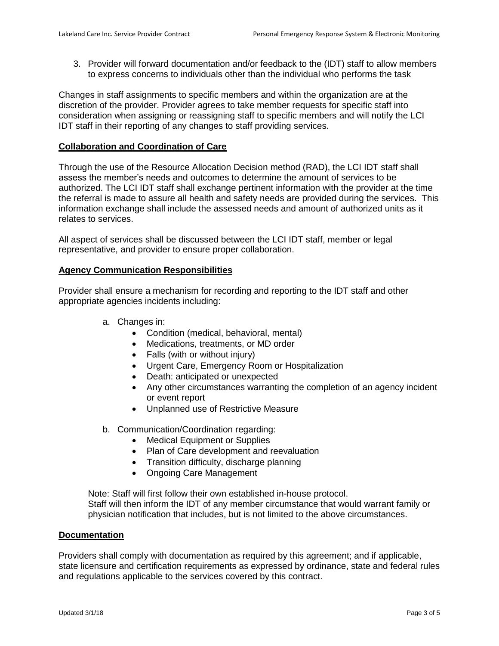3. Provider will forward documentation and/or feedback to the (IDT) staff to allow members to express concerns to individuals other than the individual who performs the task

Changes in staff assignments to specific members and within the organization are at the discretion of the provider. Provider agrees to take member requests for specific staff into consideration when assigning or reassigning staff to specific members and will notify the LCI IDT staff in their reporting of any changes to staff providing services.

## **Collaboration and Coordination of Care**

Through the use of the Resource Allocation Decision method (RAD), the LCI IDT staff shall assess the member's needs and outcomes to determine the amount of services to be authorized. The LCI IDT staff shall exchange pertinent information with the provider at the time the referral is made to assure all health and safety needs are provided during the services. This information exchange shall include the assessed needs and amount of authorized units as it relates to services.

All aspect of services shall be discussed between the LCI IDT staff, member or legal representative, and provider to ensure proper collaboration.

### **Agency Communication Responsibilities**

Provider shall ensure a mechanism for recording and reporting to the IDT staff and other appropriate agencies incidents including:

- a. Changes in:
	- Condition (medical, behavioral, mental)
	- Medications, treatments, or MD order
	- Falls (with or without injury)
	- Urgent Care, Emergency Room or Hospitalization
	- Death: anticipated or unexpected
	- Any other circumstances warranting the completion of an agency incident or event report
	- Unplanned use of Restrictive Measure
- b. Communication/Coordination regarding:
	- Medical Equipment or Supplies
	- Plan of Care development and reevaluation
	- Transition difficulty, discharge planning
	- Ongoing Care Management

Note: Staff will first follow their own established in-house protocol. Staff will then inform the IDT of any member circumstance that would warrant family or physician notification that includes, but is not limited to the above circumstances.

#### **Documentation**

Providers shall comply with documentation as required by this agreement; and if applicable, state licensure and certification requirements as expressed by ordinance, state and federal rules and regulations applicable to the services covered by this contract.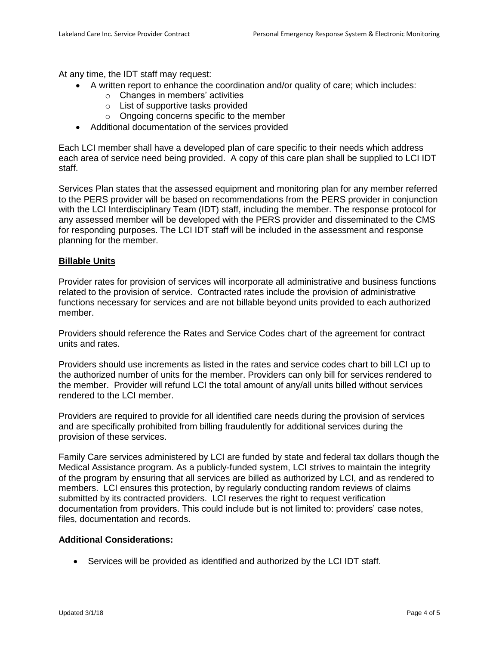At any time, the IDT staff may request:

- A written report to enhance the coordination and/or quality of care; which includes:
	- $\circ$  Changes in members' activities
	- o List of supportive tasks provided
	- o Ongoing concerns specific to the member
- Additional documentation of the services provided

Each LCI member shall have a developed plan of care specific to their needs which address each area of service need being provided. A copy of this care plan shall be supplied to LCI IDT staff.

Services Plan states that the assessed equipment and monitoring plan for any member referred to the PERS provider will be based on recommendations from the PERS provider in conjunction with the LCI Interdisciplinary Team (IDT) staff, including the member. The response protocol for any assessed member will be developed with the PERS provider and disseminated to the CMS for responding purposes. The LCI IDT staff will be included in the assessment and response planning for the member.

## **Billable Units**

Provider rates for provision of services will incorporate all administrative and business functions related to the provision of service. Contracted rates include the provision of administrative functions necessary for services and are not billable beyond units provided to each authorized member.

Providers should reference the Rates and Service Codes chart of the agreement for contract units and rates.

Providers should use increments as listed in the rates and service codes chart to bill LCI up to the authorized number of units for the member. Providers can only bill for services rendered to the member. Provider will refund LCI the total amount of any/all units billed without services rendered to the LCI member.

Providers are required to provide for all identified care needs during the provision of services and are specifically prohibited from billing fraudulently for additional services during the provision of these services.

Family Care services administered by LCI are funded by state and federal tax dollars though the Medical Assistance program. As a publicly-funded system, LCI strives to maintain the integrity of the program by ensuring that all services are billed as authorized by LCI, and as rendered to members. LCI ensures this protection, by regularly conducting random reviews of claims submitted by its contracted providers. LCI reserves the right to request verification documentation from providers. This could include but is not limited to: providers' case notes, files, documentation and records.

## **Additional Considerations:**

Services will be provided as identified and authorized by the LCI IDT staff.